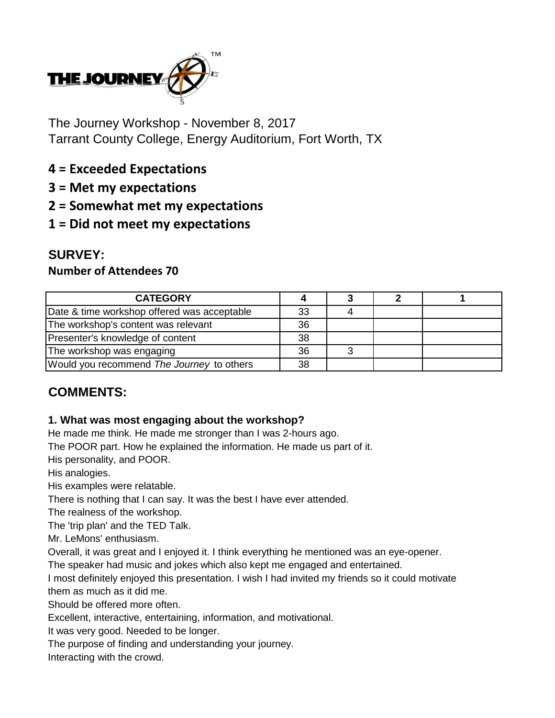

The Journey Workshop - November 8, 2017 Tarrant County College, Energy Auditorium, Fort Worth, TX

- **4 = Exceeded Expectations**
- **3 = Met my expectations**
- **2 = Somewhat met my expectations**
- **1 = Did not meet my expectations**

# **SURVEY:**

### **Number of Attendees 70**

| <b>CATEGORY</b>                             |    |  |  |
|---------------------------------------------|----|--|--|
| Date & time workshop offered was acceptable | 33 |  |  |
| The workshop's content was relevant         | 36 |  |  |
| Presenter's knowledge of content            | 38 |  |  |
| The workshop was engaging                   | 36 |  |  |
| Would you recommend The Journey to others   | 38 |  |  |

# **COMMENTS:**

#### **1. What was most engaging about the workshop?**

He made me think. He made me stronger than I was 2-hours ago.

The POOR part. How he explained the information. He made us part of it.

His personality, and POOR.

His analogies.

His examples were relatable.

There is nothing that I can say. It was the best I have ever attended.

The realness of the workshop.

The 'trip plan' and the TED Talk.

Mr. LeMons' enthusiasm.

Overall, it was great and I enjoyed it. I think everything he mentioned was an eye-opener.

The speaker had music and jokes which also kept me engaged and entertained.

I most definitely enjoyed this presentation. I wish I had invited my friends so it could motivate them as much as it did me.

Should be offered more often.

Excellent, interactive, entertaining, information, and motivational.

It was very good. Needed to be longer.

The purpose of finding and understanding your journey.

Interacting with the crowd.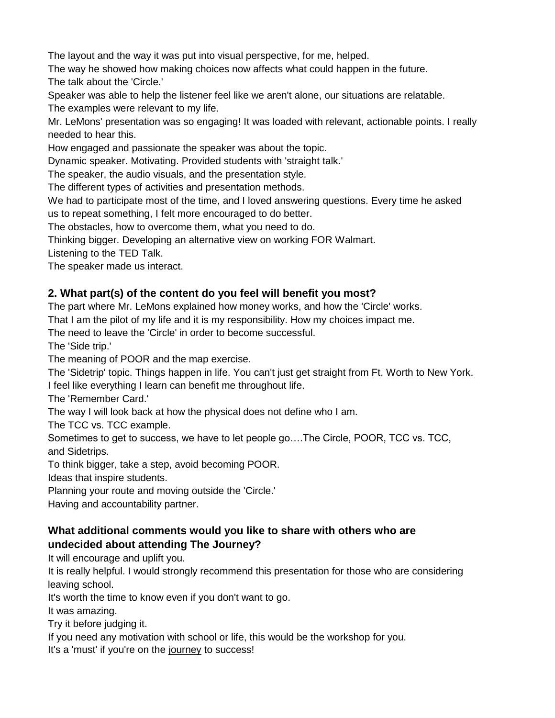The layout and the way it was put into visual perspective, for me, helped.

The way he showed how making choices now affects what could happen in the future. The talk about the 'Circle.'

Speaker was able to help the listener feel like we aren't alone, our situations are relatable.

The examples were relevant to my life.

Mr. LeMons' presentation was so engaging! It was loaded with relevant, actionable points. I really needed to hear this.

How engaged and passionate the speaker was about the topic.

Dynamic speaker. Motivating. Provided students with 'straight talk.'

The speaker, the audio visuals, and the presentation style.

The different types of activities and presentation methods.

We had to participate most of the time, and I loved answering questions. Every time he asked

us to repeat something, I felt more encouraged to do better.

The obstacles, how to overcome them, what you need to do.

Thinking bigger. Developing an alternative view on working FOR Walmart.

Listening to the TED Talk.

The speaker made us interact.

#### **2. What part(s) of the content do you feel will benefit you most?**

The part where Mr. LeMons explained how money works, and how the 'Circle' works.

That I am the pilot of my life and it is my responsibility. How my choices impact me.

The need to leave the 'Circle' in order to become successful.

The 'Side trip.'

The meaning of POOR and the map exercise.

The 'Sidetrip' topic. Things happen in life. You can't just get straight from Ft. Worth to New York. I feel like everything I learn can benefit me throughout life.

The 'Remember Card.'

The way I will look back at how the physical does not define who I am.

The TCC vs. TCC example.

Sometimes to get to success, we have to let people go….The Circle, POOR, TCC vs. TCC, and Sidetrips.

To think bigger, take a step, avoid becoming POOR.

Ideas that inspire students.

Planning your route and moving outside the 'Circle.'

Having and accountability partner.

### **What additional comments would you like to share with others who are undecided about attending The Journey?**

It will encourage and uplift you.

It is really helpful. I would strongly recommend this presentation for those who are considering leaving school.

It's worth the time to know even if you don't want to go.

It was amazing.

Try it before judging it.

If you need any motivation with school or life, this would be the workshop for you.

It's a 'must' if you're on the journey to success!